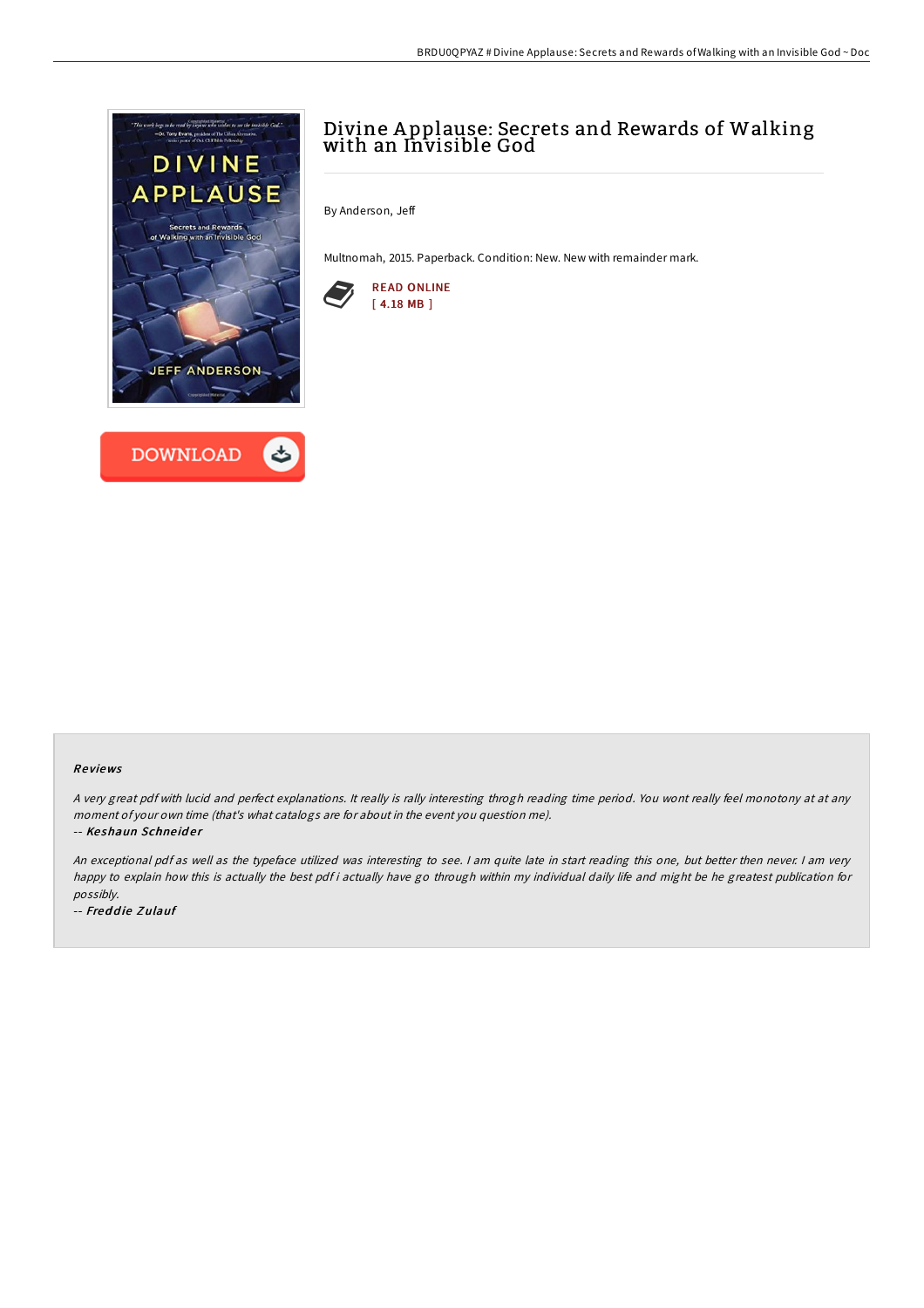



# Divine A pplause: Secrets and Rewards of Walking with an Invisible God

By Anderson, Jeff

Multnomah, 2015. Paperback. Condition: New. New with remainder mark.



#### Re views

<sup>A</sup> very great pdf with lucid and perfect explanations. It really is rally interesting throgh reading time period. You wont really feel monotony at at any moment of your own time (that's what catalogs are for about in the event you question me).

-- Keshaun Schneider

An exceptional pdf as well as the typeface utilized was interesting to see. <sup>I</sup> am quite late in start reading this one, but better then never. <sup>I</sup> am very happy to explain how this is actually the best pdf i actually have go through within my individual daily life and might be he greatest publication for possibly.

-- Freddie Zulauf